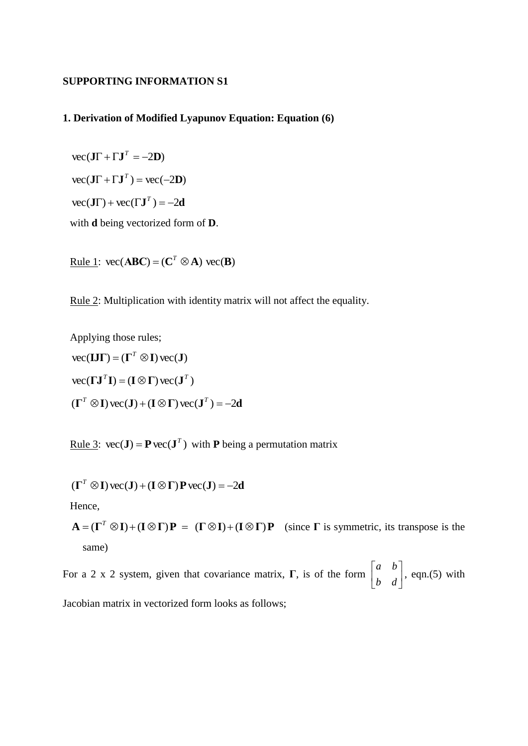## **SUPPORTING INFORMATION S1**

## **1. Derivation of Modified Lyapunov Equation: Equation (6)**

 $\text{vec}(\mathbf{J}\Gamma + \Gamma \mathbf{J}^T = -2\mathbf{D})$  $\text{vec}(\mathbf{J}\Gamma + \Gamma \mathbf{J}^T) = \text{vec}(-2\mathbf{D})$  $\text{vec}(\mathbf{J}\Gamma) + \text{vec}(\Gamma \mathbf{J}^T) = -2\mathbf{d}$ 

with **d** being vectorized form of **D**.

 $\text{Rule 1: } \text{vec}(\mathbf{ABC}) = (\mathbf{C}^T \otimes \mathbf{A}) \text{vec}(\mathbf{B})$ 

Rule 2: Multiplication with identity matrix will not affect the equality.

Applying those rules;  $\text{vec}(\mathbf{I}\mathbf{J}\boldsymbol{\Gamma}) = (\boldsymbol{\Gamma}^T \otimes \mathbf{I}) \text{vec}(\mathbf{J})$  $\text{vec}(\mathbf{U}^T \mathbf{I}) = (\mathbf{I} \otimes \mathbf{\Gamma}) \text{vec}(\mathbf{J}^T)$  $(\mathbf{\Gamma}^T \otimes \mathbf{I}) \text{ vec}(\mathbf{J}) + (\mathbf{I} \otimes \mathbf{\Gamma}) \text{ vec}(\mathbf{J}^T) = -2\mathbf{d}$ 

Rule 3:  $\text{vec}(\mathbf{J}) = \mathbf{P} \text{vec}(\mathbf{J}^T)$  with **P** being a permutation matrix

$$
(\Gamma^T \otimes I) \text{ vec}(J) + (I \otimes \Gamma) \text{ P vec}(J) = -2d
$$

Hence,

 $A = (\Gamma^T \otimes I) + (I \otimes \Gamma)P = (\Gamma \otimes I) + (I \otimes \Gamma)P$  (since  $\Gamma$  is symmetric, its transpose is the same)

For a 2 x 2 system, given that covariance matrix, **Γ**, is of the form  $\begin{bmatrix} a & b \\ b & d \end{bmatrix}$  $\overline{\phantom{a}}$   $\mathsf{I}$ L  $\mathbf{r}$ *b d a b* , eqn.(5) with Jacobian matrix in vectorized form looks as follows;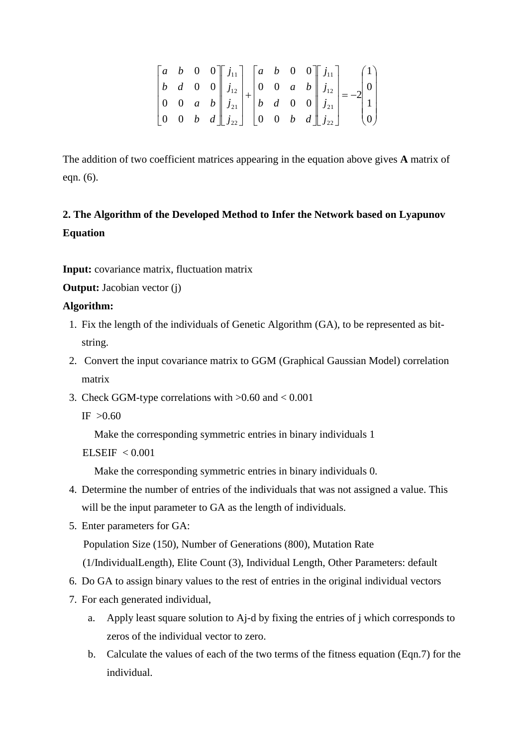$$
\begin{bmatrix} a & b & 0 & 0 \ b & d & 0 & 0 \ 0 & 0 & a & b \ 0 & 0 & b & d \end{bmatrix} \begin{bmatrix} j_{11} \\ j_{12} \\ j_{21} \\ j_{22} \end{bmatrix} + \begin{bmatrix} a & b & 0 & 0 \ 0 & 0 & a & b \ b & d & 0 & 0 \ 0 & 0 & b & d \end{bmatrix} \begin{bmatrix} j_{11} \\ j_{12} \\ j_{21} \\ j_{22} \end{bmatrix} = -2 \begin{bmatrix} 1 \\ 0 \\ 1 \\ 0 \end{bmatrix}
$$

The addition of two coefficient matrices appearing in the equation above gives **A** matrix of eqn. (6).

## **2. The Algorithm of the Developed Method to Infer the Network based on Lyapunov Equation**

**Input:** covariance matrix, fluctuation matrix

**Output:** Jacobian vector (j)

## **Algorithm:**

- 1. Fix the length of the individuals of Genetic Algorithm (GA), to be represented as bitstring.
- 2. Convert the input covariance matrix to GGM (Graphical Gaussian Model) correlation matrix
- 3. Check GGM-type correlations with  $>0.60$  and  $< 0.001$

 $IF > 0.60$ 

Make the corresponding symmetric entries in binary individuals 1

```
ELSEIF < 0.001
```
Make the corresponding symmetric entries in binary individuals 0.

- 4. Determine the number of entries of the individuals that was not assigned a value. This will be the input parameter to GA as the length of individuals.
- 5. Enter parameters for GA:

Population Size (150), Number of Generations (800), Mutation Rate

(1/IndividualLength), Elite Count (3), Individual Length, Other Parameters: default

- 6. Do GA to assign binary values to the rest of entries in the original individual vectors
- 7. For each generated individual,
	- a. Apply least square solution to Aj-d by fixing the entries of j which corresponds to zeros of the individual vector to zero.
	- b. Calculate the values of each of the two terms of the fitness equation (Eqn.7) for the individual.